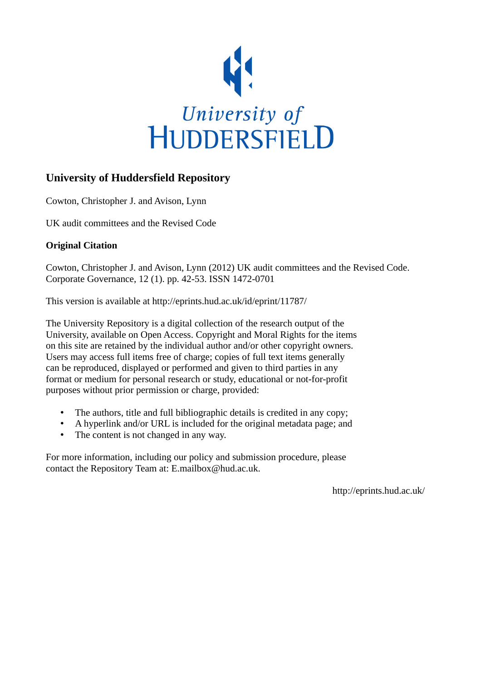

## **University of Huddersfield Repository**

Cowton, Christopher J. and Avison, Lynn

UK audit committees and the Revised Code

## **Original Citation**

Cowton, Christopher J. and Avison, Lynn (2012) UK audit committees and the Revised Code. Corporate Governance, 12 (1). pp. 42-53. ISSN 1472-0701

This version is available at http://eprints.hud.ac.uk/id/eprint/11787/

The University Repository is a digital collection of the research output of the University, available on Open Access. Copyright and Moral Rights for the items on this site are retained by the individual author and/or other copyright owners. Users may access full items free of charge; copies of full text items generally can be reproduced, displayed or performed and given to third parties in any format or medium for personal research or study, educational or not-for-profit purposes without prior permission or charge, provided:

- The authors, title and full bibliographic details is credited in any copy;
- A hyperlink and/or URL is included for the original metadata page; and
- The content is not changed in any way.

For more information, including our policy and submission procedure, please contact the Repository Team at: E.mailbox@hud.ac.uk.

http://eprints.hud.ac.uk/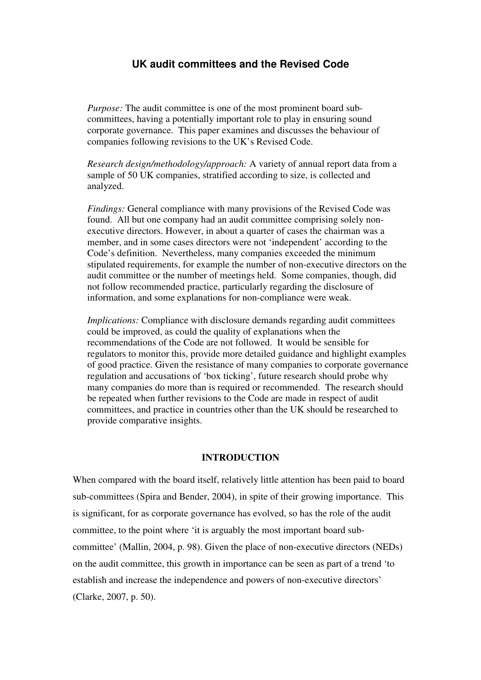## **UK audit committees and the Revised Code**

*Purpose:* The audit committee is one of the most prominent board subcommittees, having a potentially important role to play in ensuring sound corporate governance. This paper examines and discusses the behaviour of companies following revisions to the UK's Revised Code.

*Research design/methodology/approach:* A variety of annual report data from a sample of 50 UK companies, stratified according to size, is collected and analyzed.

*Findings:* General compliance with many provisions of the Revised Code was found. All but one company had an audit committee comprising solely nonexecutive directors. However, in about a quarter of cases the chairman was a member, and in some cases directors were not 'independent' according to the Code's definition. Nevertheless, many companies exceeded the minimum stipulated requirements, for example the number of non-executive directors on the audit committee or the number of meetings held. Some companies, though, did not follow recommended practice, particularly regarding the disclosure of information, and some explanations for non-compliance were weak.

*Implications:* Compliance with disclosure demands regarding audit committees could be improved, as could the quality of explanations when the recommendations of the Code are not followed. It would be sensible for regulators to monitor this, provide more detailed guidance and highlight examples of good practice. Given the resistance of many companies to corporate governance regulation and accusations of 'box ticking', future research should probe why many companies do more than is required or recommended. The research should be repeated when further revisions to the Code are made in respect of audit committees, and practice in countries other than the UK should be researched to provide comparative insights.

## **INTRODUCTION**

When compared with the board itself, relatively little attention has been paid to board sub-committees (Spira and Bender, 2004), in spite of their growing importance. This is significant, for as corporate governance has evolved, so has the role of the audit committee, to the point where 'it is arguably the most important board subcommittee' (Mallin, 2004, p. 98). Given the place of non-executive directors (NEDs) on the audit committee, this growth in importance can be seen as part of a trend 'to establish and increase the independence and powers of non-executive directors' (Clarke, 2007, p. 50).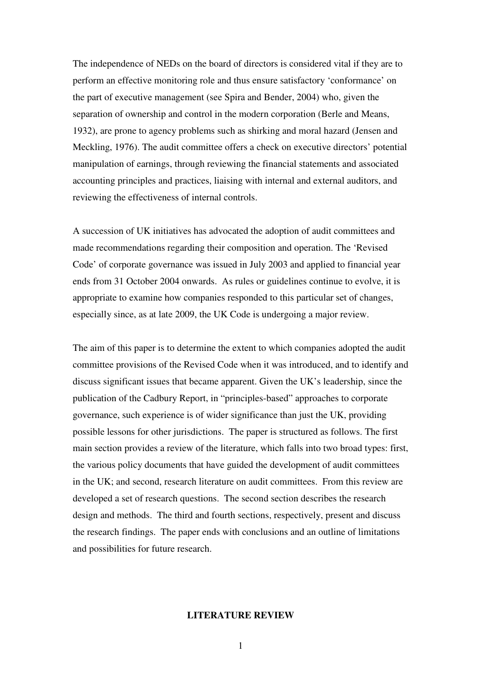The independence of NEDs on the board of directors is considered vital if they are to perform an effective monitoring role and thus ensure satisfactory 'conformance' on the part of executive management (see Spira and Bender, 2004) who, given the separation of ownership and control in the modern corporation (Berle and Means, 1932), are prone to agency problems such as shirking and moral hazard (Jensen and Meckling, 1976). The audit committee offers a check on executive directors' potential manipulation of earnings, through reviewing the financial statements and associated accounting principles and practices, liaising with internal and external auditors, and reviewing the effectiveness of internal controls.

A succession of UK initiatives has advocated the adoption of audit committees and made recommendations regarding their composition and operation. The 'Revised Code' of corporate governance was issued in July 2003 and applied to financial year ends from 31 October 2004 onwards. As rules or guidelines continue to evolve, it is appropriate to examine how companies responded to this particular set of changes, especially since, as at late 2009, the UK Code is undergoing a major review.

The aim of this paper is to determine the extent to which companies adopted the audit committee provisions of the Revised Code when it was introduced, and to identify and discuss significant issues that became apparent. Given the UK's leadership, since the publication of the Cadbury Report, in "principles-based" approaches to corporate governance, such experience is of wider significance than just the UK, providing possible lessons for other jurisdictions. The paper is structured as follows. The first main section provides a review of the literature, which falls into two broad types: first, the various policy documents that have guided the development of audit committees in the UK; and second, research literature on audit committees. From this review are developed a set of research questions. The second section describes the research design and methods. The third and fourth sections, respectively, present and discuss the research findings. The paper ends with conclusions and an outline of limitations and possibilities for future research.

#### **LITERATURE REVIEW**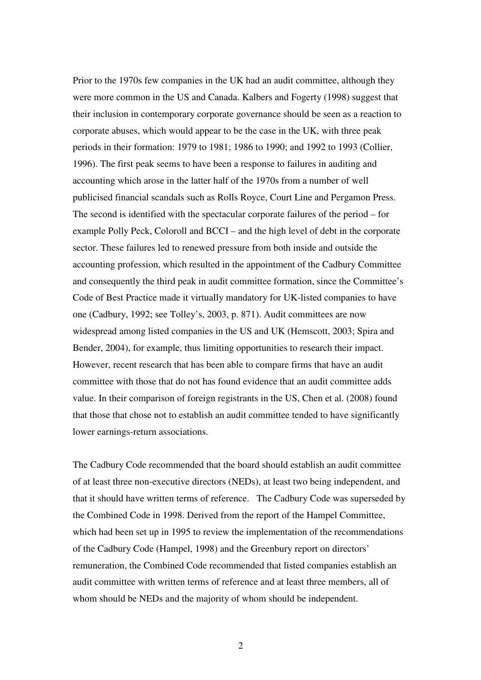Prior to the 1970s few companies in the UK had an audit committee, although they were more common in the US and Canada. Kalbers and Fogerty (1998) suggest that their inclusion in contemporary corporate governance should be seen as a reaction to corporate abuses, which would appear to be the case in the UK, with three peak periods in their formation: 1979 to 1981; 1986 to 1990; and 1992 to 1993 (Collier, 1996). The first peak seems to have been a response to failures in auditing and accounting which arose in the latter half of the 1970s from a number of well publicised financial scandals such as Rolls Royce, Court Line and Pergamon Press. The second is identified with the spectacular corporate failures of the period – for example Polly Peck, Coloroll and BCCI – and the high level of debt in the corporate sector. These failures led to renewed pressure from both inside and outside the accounting profession, which resulted in the appointment of the Cadbury Committee and consequently the third peak in audit committee formation, since the Committee's Code of Best Practice made it virtually mandatory for UK-listed companies to have one (Cadbury, 1992; see Tolley's, 2003, p. 871). Audit committees are now widespread among listed companies in the US and UK (Hemscott, 2003; Spira and Bender, 2004), for example, thus limiting opportunities to research their impact. However, recent research that has been able to compare firms that have an audit committee with those that do not has found evidence that an audit committee adds value. In their comparison of foreign registrants in the US, Chen et al. (2008) found that those that chose not to establish an audit committee tended to have significantly lower earnings-return associations.

The Cadbury Code recommended that the board should establish an audit committee of at least three non-executive directors (NEDs), at least two being independent, and that it should have written terms of reference. The Cadbury Code was superseded by the Combined Code in 1998. Derived from the report of the Hampel Committee, which had been set up in 1995 to review the implementation of the recommendations of the Cadbury Code (Hampel, 1998) and the Greenbury report on directors' remuneration, the Combined Code recommended that listed companies establish an audit committee with written terms of reference and at least three members, all of whom should be NEDs and the majority of whom should be independent.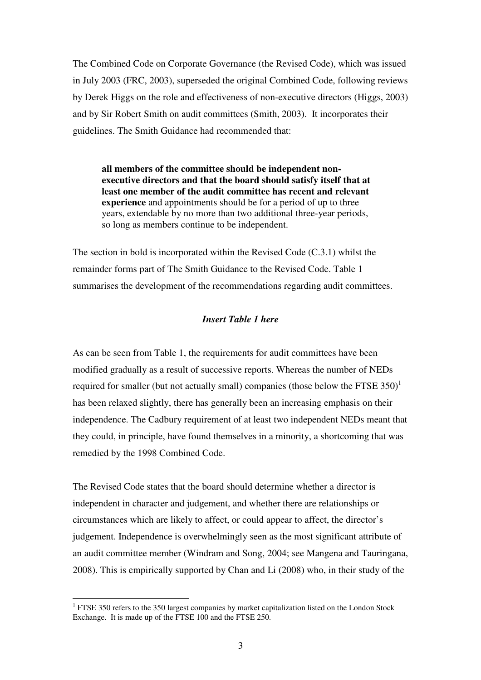The Combined Code on Corporate Governance (the Revised Code), which was issued in July 2003 (FRC, 2003), superseded the original Combined Code, following reviews by Derek Higgs on the role and effectiveness of non-executive directors (Higgs, 2003) and by Sir Robert Smith on audit committees (Smith, 2003). It incorporates their guidelines. The Smith Guidance had recommended that:

**all members of the committee should be independent nonexecutive directors and that the board should satisfy itself that at least one member of the audit committee has recent and relevant experience** and appointments should be for a period of up to three years, extendable by no more than two additional three-year periods, so long as members continue to be independent.

The section in bold is incorporated within the Revised Code (C.3.1) whilst the remainder forms part of The Smith Guidance to the Revised Code. Table 1 summarises the development of the recommendations regarding audit committees.

## *Insert Table 1 here*

As can be seen from Table 1, the requirements for audit committees have been modified gradually as a result of successive reports. Whereas the number of NEDs required for smaller (but not actually small) companies (those below the FTSE  $350$ )<sup>1</sup> has been relaxed slightly, there has generally been an increasing emphasis on their independence. The Cadbury requirement of at least two independent NEDs meant that they could, in principle, have found themselves in a minority, a shortcoming that was remedied by the 1998 Combined Code.

The Revised Code states that the board should determine whether a director is independent in character and judgement, and whether there are relationships or circumstances which are likely to affect, or could appear to affect, the director's judgement. Independence is overwhelmingly seen as the most significant attribute of an audit committee member (Windram and Song, 2004; see Mangena and Tauringana, 2008). This is empirically supported by Chan and Li (2008) who, in their study of the

 $\overline{a}$ 

<sup>&</sup>lt;sup>1</sup> FTSE 350 refers to the 350 largest companies by market capitalization listed on the London Stock Exchange. It is made up of the FTSE 100 and the FTSE 250.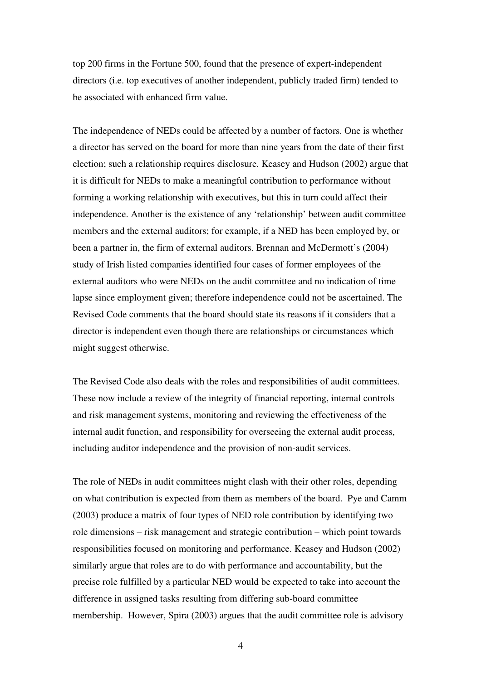top 200 firms in the Fortune 500, found that the presence of expert-independent directors (i.e. top executives of another independent, publicly traded firm) tended to be associated with enhanced firm value.

The independence of NEDs could be affected by a number of factors. One is whether a director has served on the board for more than nine years from the date of their first election; such a relationship requires disclosure. Keasey and Hudson (2002) argue that it is difficult for NEDs to make a meaningful contribution to performance without forming a working relationship with executives, but this in turn could affect their independence. Another is the existence of any 'relationship' between audit committee members and the external auditors; for example, if a NED has been employed by, or been a partner in, the firm of external auditors. Brennan and McDermott's (2004) study of Irish listed companies identified four cases of former employees of the external auditors who were NEDs on the audit committee and no indication of time lapse since employment given; therefore independence could not be ascertained. The Revised Code comments that the board should state its reasons if it considers that a director is independent even though there are relationships or circumstances which might suggest otherwise.

The Revised Code also deals with the roles and responsibilities of audit committees. These now include a review of the integrity of financial reporting, internal controls and risk management systems, monitoring and reviewing the effectiveness of the internal audit function, and responsibility for overseeing the external audit process, including auditor independence and the provision of non-audit services.

The role of NEDs in audit committees might clash with their other roles, depending on what contribution is expected from them as members of the board. Pye and Camm (2003) produce a matrix of four types of NED role contribution by identifying two role dimensions – risk management and strategic contribution – which point towards responsibilities focused on monitoring and performance. Keasey and Hudson (2002) similarly argue that roles are to do with performance and accountability, but the precise role fulfilled by a particular NED would be expected to take into account the difference in assigned tasks resulting from differing sub-board committee membership. However, Spira (2003) argues that the audit committee role is advisory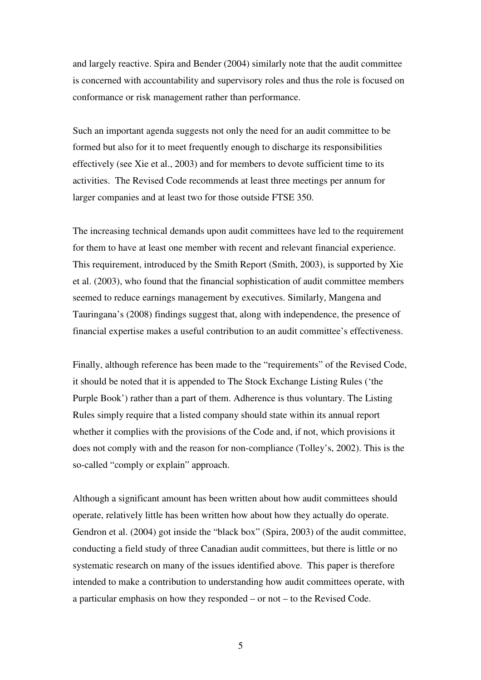and largely reactive. Spira and Bender (2004) similarly note that the audit committee is concerned with accountability and supervisory roles and thus the role is focused on conformance or risk management rather than performance.

Such an important agenda suggests not only the need for an audit committee to be formed but also for it to meet frequently enough to discharge its responsibilities effectively (see Xie et al., 2003) and for members to devote sufficient time to its activities. The Revised Code recommends at least three meetings per annum for larger companies and at least two for those outside FTSE 350.

The increasing technical demands upon audit committees have led to the requirement for them to have at least one member with recent and relevant financial experience. This requirement, introduced by the Smith Report (Smith, 2003), is supported by Xie et al. (2003), who found that the financial sophistication of audit committee members seemed to reduce earnings management by executives. Similarly, Mangena and Tauringana's (2008) findings suggest that, along with independence, the presence of financial expertise makes a useful contribution to an audit committee's effectiveness.

Finally, although reference has been made to the "requirements" of the Revised Code, it should be noted that it is appended to The Stock Exchange Listing Rules ('the Purple Book') rather than a part of them. Adherence is thus voluntary. The Listing Rules simply require that a listed company should state within its annual report whether it complies with the provisions of the Code and, if not, which provisions it does not comply with and the reason for non-compliance (Tolley's, 2002). This is the so-called "comply or explain" approach.

Although a significant amount has been written about how audit committees should operate, relatively little has been written how about how they actually do operate. Gendron et al. (2004) got inside the "black box" (Spira, 2003) of the audit committee, conducting a field study of three Canadian audit committees, but there is little or no systematic research on many of the issues identified above. This paper is therefore intended to make a contribution to understanding how audit committees operate, with a particular emphasis on how they responded – or not – to the Revised Code.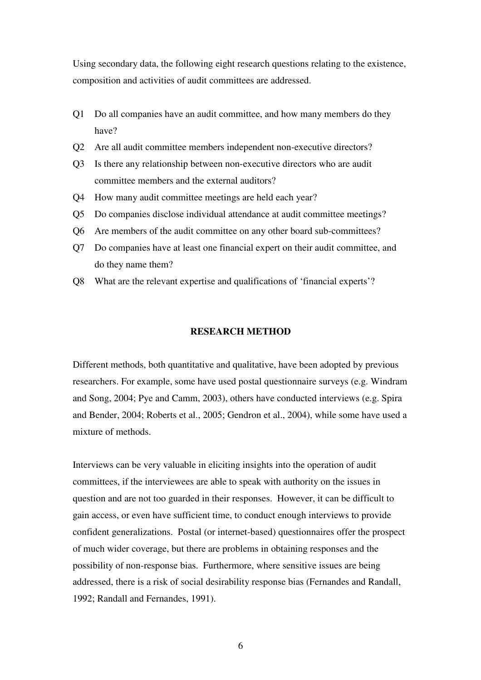Using secondary data, the following eight research questions relating to the existence, composition and activities of audit committees are addressed.

- Q1 Do all companies have an audit committee, and how many members do they have?
- Q2 Are all audit committee members independent non-executive directors?
- Q3 Is there any relationship between non-executive directors who are audit committee members and the external auditors?
- Q4 How many audit committee meetings are held each year?
- Q5 Do companies disclose individual attendance at audit committee meetings?
- Q6 Are members of the audit committee on any other board sub-committees?
- Q7 Do companies have at least one financial expert on their audit committee, and do they name them?
- Q8 What are the relevant expertise and qualifications of 'financial experts'?

### **RESEARCH METHOD**

Different methods, both quantitative and qualitative, have been adopted by previous researchers. For example, some have used postal questionnaire surveys (e.g. Windram and Song, 2004; Pye and Camm, 2003), others have conducted interviews (e.g. Spira and Bender, 2004; Roberts et al., 2005; Gendron et al., 2004), while some have used a mixture of methods.

Interviews can be very valuable in eliciting insights into the operation of audit committees, if the interviewees are able to speak with authority on the issues in question and are not too guarded in their responses. However, it can be difficult to gain access, or even have sufficient time, to conduct enough interviews to provide confident generalizations. Postal (or internet-based) questionnaires offer the prospect of much wider coverage, but there are problems in obtaining responses and the possibility of non-response bias. Furthermore, where sensitive issues are being addressed, there is a risk of social desirability response bias (Fernandes and Randall, 1992; Randall and Fernandes, 1991).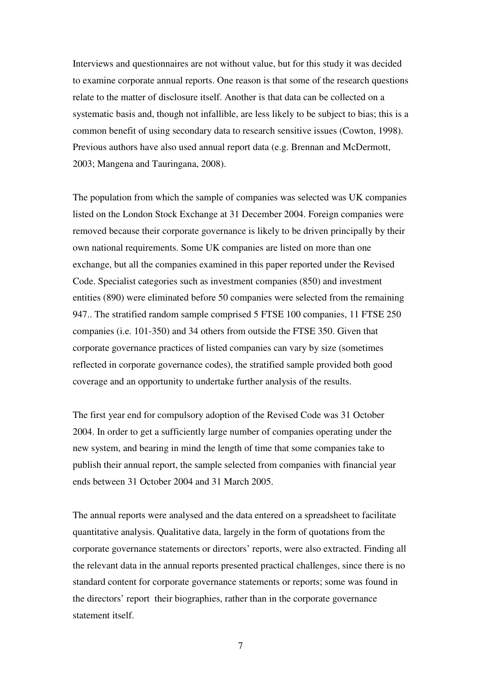Interviews and questionnaires are not without value, but for this study it was decided to examine corporate annual reports. One reason is that some of the research questions relate to the matter of disclosure itself. Another is that data can be collected on a systematic basis and, though not infallible, are less likely to be subject to bias; this is a common benefit of using secondary data to research sensitive issues (Cowton, 1998). Previous authors have also used annual report data (e.g. Brennan and McDermott, 2003; Mangena and Tauringana, 2008).

The population from which the sample of companies was selected was UK companies listed on the London Stock Exchange at 31 December 2004. Foreign companies were removed because their corporate governance is likely to be driven principally by their own national requirements. Some UK companies are listed on more than one exchange, but all the companies examined in this paper reported under the Revised Code. Specialist categories such as investment companies (850) and investment entities (890) were eliminated before 50 companies were selected from the remaining 947.. The stratified random sample comprised 5 FTSE 100 companies, 11 FTSE 250 companies (i.e. 101-350) and 34 others from outside the FTSE 350. Given that corporate governance practices of listed companies can vary by size (sometimes reflected in corporate governance codes), the stratified sample provided both good coverage and an opportunity to undertake further analysis of the results.

The first year end for compulsory adoption of the Revised Code was 31 October 2004. In order to get a sufficiently large number of companies operating under the new system, and bearing in mind the length of time that some companies take to publish their annual report, the sample selected from companies with financial year ends between 31 October 2004 and 31 March 2005.

The annual reports were analysed and the data entered on a spreadsheet to facilitate quantitative analysis. Qualitative data, largely in the form of quotations from the corporate governance statements or directors' reports, were also extracted. Finding all the relevant data in the annual reports presented practical challenges, since there is no standard content for corporate governance statements or reports; some was found in the directors' report their biographies, rather than in the corporate governance statement itself.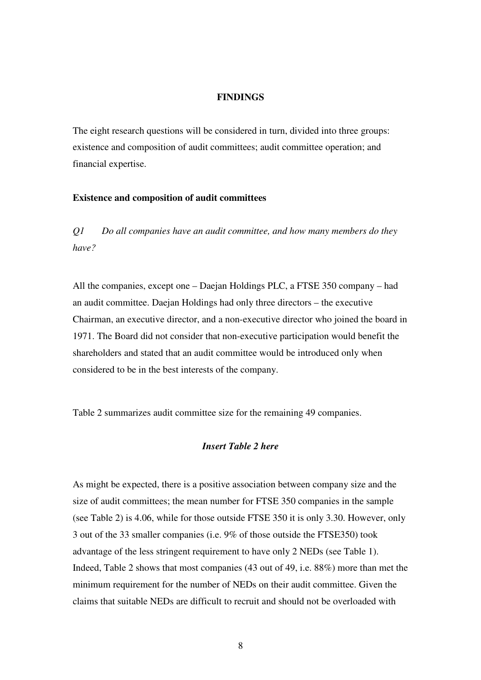### **FINDINGS**

The eight research questions will be considered in turn, divided into three groups: existence and composition of audit committees; audit committee operation; and financial expertise.

#### **Existence and composition of audit committees**

*Q1 Do all companies have an audit committee, and how many members do they have?* 

All the companies, except one – Daejan Holdings PLC, a FTSE 350 company – had an audit committee. Daejan Holdings had only three directors – the executive Chairman, an executive director, and a non-executive director who joined the board in 1971. The Board did not consider that non-executive participation would benefit the shareholders and stated that an audit committee would be introduced only when considered to be in the best interests of the company.

Table 2 summarizes audit committee size for the remaining 49 companies.

#### *Insert Table 2 here*

As might be expected, there is a positive association between company size and the size of audit committees; the mean number for FTSE 350 companies in the sample (see Table 2) is 4.06, while for those outside FTSE 350 it is only 3.30. However, only 3 out of the 33 smaller companies (i.e. 9% of those outside the FTSE350) took advantage of the less stringent requirement to have only 2 NEDs (see Table 1). Indeed, Table 2 shows that most companies (43 out of 49, i.e. 88%) more than met the minimum requirement for the number of NEDs on their audit committee. Given the claims that suitable NEDs are difficult to recruit and should not be overloaded with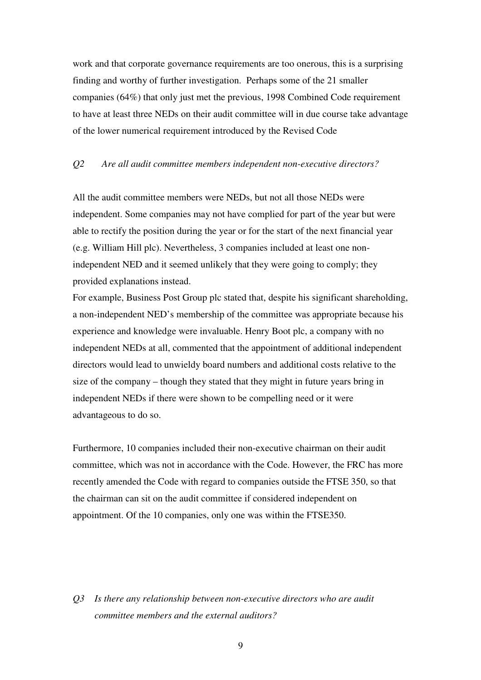work and that corporate governance requirements are too onerous, this is a surprising finding and worthy of further investigation. Perhaps some of the 21 smaller companies (64%) that only just met the previous, 1998 Combined Code requirement to have at least three NEDs on their audit committee will in due course take advantage of the lower numerical requirement introduced by the Revised Code

## *Q2 Are all audit committee members independent non-executive directors?*

All the audit committee members were NEDs, but not all those NEDs were independent. Some companies may not have complied for part of the year but were able to rectify the position during the year or for the start of the next financial year (e.g. William Hill plc). Nevertheless, 3 companies included at least one nonindependent NED and it seemed unlikely that they were going to comply; they provided explanations instead.

For example, Business Post Group plc stated that, despite his significant shareholding, a non-independent NED's membership of the committee was appropriate because his experience and knowledge were invaluable. Henry Boot plc, a company with no independent NEDs at all, commented that the appointment of additional independent directors would lead to unwieldy board numbers and additional costs relative to the size of the company – though they stated that they might in future years bring in independent NEDs if there were shown to be compelling need or it were advantageous to do so.

Furthermore, 10 companies included their non-executive chairman on their audit committee, which was not in accordance with the Code. However, the FRC has more recently amended the Code with regard to companies outside the FTSE 350, so that the chairman can sit on the audit committee if considered independent on appointment. Of the 10 companies, only one was within the FTSE350.

# *Q3 Is there any relationship between non-executive directors who are audit committee members and the external auditors?*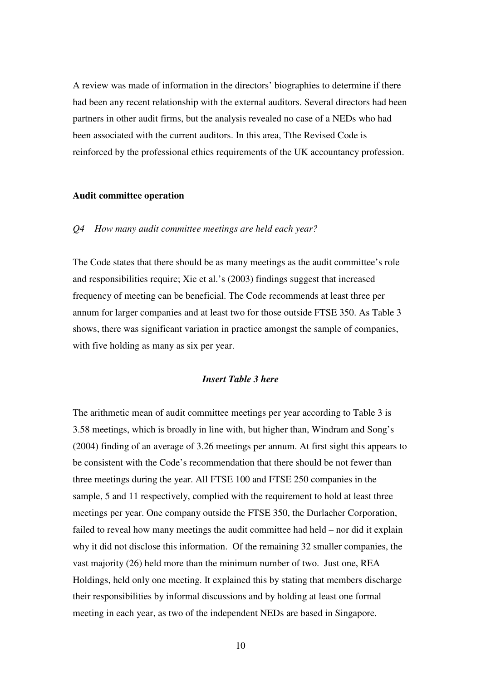A review was made of information in the directors' biographies to determine if there had been any recent relationship with the external auditors. Several directors had been partners in other audit firms, but the analysis revealed no case of a NEDs who had been associated with the current auditors. In this area, Tthe Revised Code is reinforced by the professional ethics requirements of the UK accountancy profession.

#### **Audit committee operation**

#### *Q4 How many audit committee meetings are held each year?*

The Code states that there should be as many meetings as the audit committee's role and responsibilities require; Xie et al.'s (2003) findings suggest that increased frequency of meeting can be beneficial. The Code recommends at least three per annum for larger companies and at least two for those outside FTSE 350. As Table 3 shows, there was significant variation in practice amongst the sample of companies, with five holding as many as six per year.

## *Insert Table 3 here*

The arithmetic mean of audit committee meetings per year according to Table 3 is 3.58 meetings, which is broadly in line with, but higher than, Windram and Song's (2004) finding of an average of 3.26 meetings per annum. At first sight this appears to be consistent with the Code's recommendation that there should be not fewer than three meetings during the year. All FTSE 100 and FTSE 250 companies in the sample, 5 and 11 respectively, complied with the requirement to hold at least three meetings per year. One company outside the FTSE 350, the Durlacher Corporation, failed to reveal how many meetings the audit committee had held – nor did it explain why it did not disclose this information. Of the remaining 32 smaller companies, the vast majority (26) held more than the minimum number of two. Just one, REA Holdings, held only one meeting. It explained this by stating that members discharge their responsibilities by informal discussions and by holding at least one formal meeting in each year, as two of the independent NEDs are based in Singapore.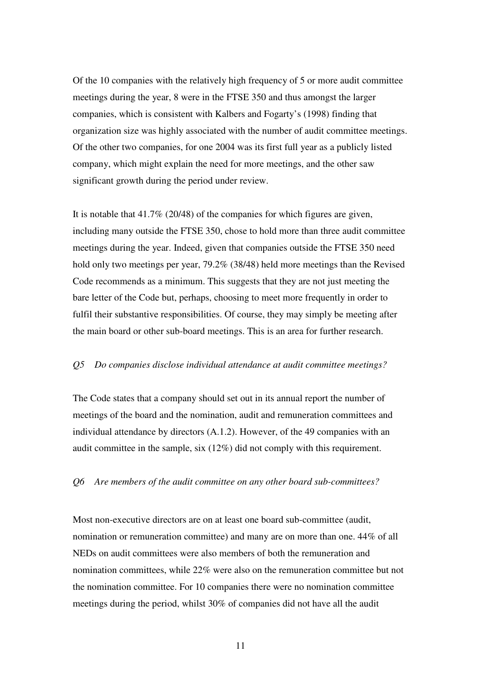Of the 10 companies with the relatively high frequency of 5 or more audit committee meetings during the year, 8 were in the FTSE 350 and thus amongst the larger companies, which is consistent with Kalbers and Fogarty's (1998) finding that organization size was highly associated with the number of audit committee meetings. Of the other two companies, for one 2004 was its first full year as a publicly listed company, which might explain the need for more meetings, and the other saw significant growth during the period under review.

It is notable that 41.7% (20/48) of the companies for which figures are given, including many outside the FTSE 350, chose to hold more than three audit committee meetings during the year. Indeed, given that companies outside the FTSE 350 need hold only two meetings per year, 79.2% (38/48) held more meetings than the Revised Code recommends as a minimum. This suggests that they are not just meeting the bare letter of the Code but, perhaps, choosing to meet more frequently in order to fulfil their substantive responsibilities. Of course, they may simply be meeting after the main board or other sub-board meetings. This is an area for further research.

#### *Q5 Do companies disclose individual attendance at audit committee meetings?*

The Code states that a company should set out in its annual report the number of meetings of the board and the nomination, audit and remuneration committees and individual attendance by directors (A.1.2). However, of the 49 companies with an audit committee in the sample, six (12%) did not comply with this requirement.

#### *Q6 Are members of the audit committee on any other board sub-committees?*

Most non-executive directors are on at least one board sub-committee (audit, nomination or remuneration committee) and many are on more than one. 44% of all NEDs on audit committees were also members of both the remuneration and nomination committees, while 22% were also on the remuneration committee but not the nomination committee. For 10 companies there were no nomination committee meetings during the period, whilst 30% of companies did not have all the audit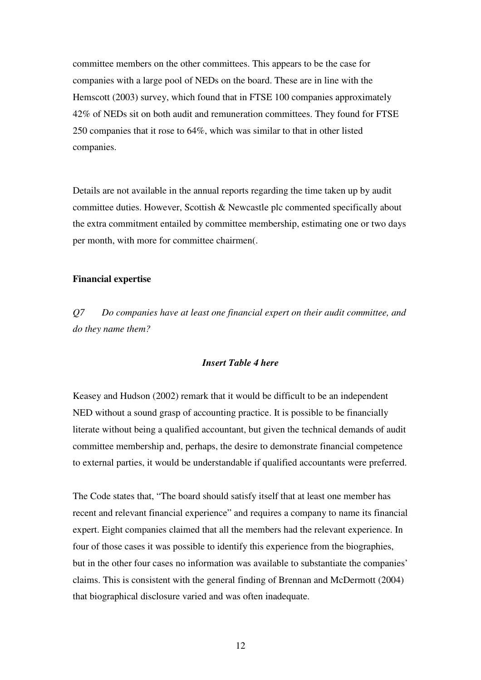committee members on the other committees. This appears to be the case for companies with a large pool of NEDs on the board. These are in line with the Hemscott (2003) survey, which found that in FTSE 100 companies approximately 42% of NEDs sit on both audit and remuneration committees. They found for FTSE 250 companies that it rose to 64%, which was similar to that in other listed companies.

Details are not available in the annual reports regarding the time taken up by audit committee duties. However, Scottish & Newcastle plc commented specifically about the extra commitment entailed by committee membership, estimating one or two days per month, with more for committee chairmen(.

#### **Financial expertise**

*Q7 Do companies have at least one financial expert on their audit committee, and do they name them?* 

## *Insert Table 4 here*

Keasey and Hudson (2002) remark that it would be difficult to be an independent NED without a sound grasp of accounting practice. It is possible to be financially literate without being a qualified accountant, but given the technical demands of audit committee membership and, perhaps, the desire to demonstrate financial competence to external parties, it would be understandable if qualified accountants were preferred.

The Code states that, "The board should satisfy itself that at least one member has recent and relevant financial experience" and requires a company to name its financial expert. Eight companies claimed that all the members had the relevant experience. In four of those cases it was possible to identify this experience from the biographies, but in the other four cases no information was available to substantiate the companies' claims. This is consistent with the general finding of Brennan and McDermott (2004) that biographical disclosure varied and was often inadequate.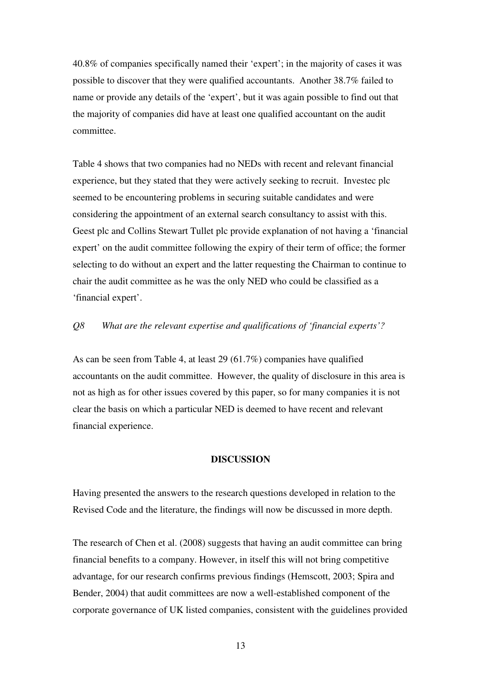40.8% of companies specifically named their 'expert'; in the majority of cases it was possible to discover that they were qualified accountants. Another 38.7% failed to name or provide any details of the 'expert', but it was again possible to find out that the majority of companies did have at least one qualified accountant on the audit committee.

Table 4 shows that two companies had no NEDs with recent and relevant financial experience, but they stated that they were actively seeking to recruit. Investec plc seemed to be encountering problems in securing suitable candidates and were considering the appointment of an external search consultancy to assist with this. Geest plc and Collins Stewart Tullet plc provide explanation of not having a 'financial expert' on the audit committee following the expiry of their term of office; the former selecting to do without an expert and the latter requesting the Chairman to continue to chair the audit committee as he was the only NED who could be classified as a 'financial expert'.

## *Q8 What are the relevant expertise and qualifications of 'financial experts'?*

As can be seen from Table 4, at least 29 (61.7%) companies have qualified accountants on the audit committee. However, the quality of disclosure in this area is not as high as for other issues covered by this paper, so for many companies it is not clear the basis on which a particular NED is deemed to have recent and relevant financial experience.

#### **DISCUSSION**

Having presented the answers to the research questions developed in relation to the Revised Code and the literature, the findings will now be discussed in more depth.

The research of Chen et al. (2008) suggests that having an audit committee can bring financial benefits to a company. However, in itself this will not bring competitive advantage, for our research confirms previous findings (Hemscott, 2003; Spira and Bender, 2004) that audit committees are now a well-established component of the corporate governance of UK listed companies, consistent with the guidelines provided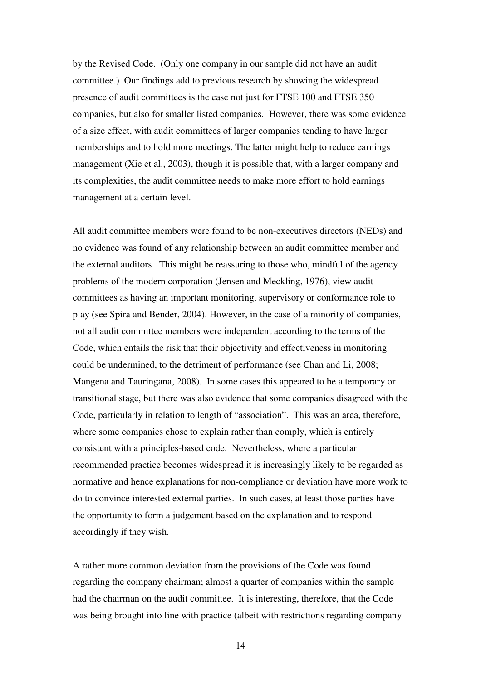by the Revised Code. (Only one company in our sample did not have an audit committee.) Our findings add to previous research by showing the widespread presence of audit committees is the case not just for FTSE 100 and FTSE 350 companies, but also for smaller listed companies. However, there was some evidence of a size effect, with audit committees of larger companies tending to have larger memberships and to hold more meetings. The latter might help to reduce earnings management (Xie et al., 2003), though it is possible that, with a larger company and its complexities, the audit committee needs to make more effort to hold earnings management at a certain level.

All audit committee members were found to be non-executives directors (NEDs) and no evidence was found of any relationship between an audit committee member and the external auditors. This might be reassuring to those who, mindful of the agency problems of the modern corporation (Jensen and Meckling, 1976), view audit committees as having an important monitoring, supervisory or conformance role to play (see Spira and Bender, 2004). However, in the case of a minority of companies, not all audit committee members were independent according to the terms of the Code, which entails the risk that their objectivity and effectiveness in monitoring could be undermined, to the detriment of performance (see Chan and Li, 2008; Mangena and Tauringana, 2008). In some cases this appeared to be a temporary or transitional stage, but there was also evidence that some companies disagreed with the Code, particularly in relation to length of "association". This was an area, therefore, where some companies chose to explain rather than comply, which is entirely consistent with a principles-based code. Nevertheless, where a particular recommended practice becomes widespread it is increasingly likely to be regarded as normative and hence explanations for non-compliance or deviation have more work to do to convince interested external parties. In such cases, at least those parties have the opportunity to form a judgement based on the explanation and to respond accordingly if they wish.

A rather more common deviation from the provisions of the Code was found regarding the company chairman; almost a quarter of companies within the sample had the chairman on the audit committee. It is interesting, therefore, that the Code was being brought into line with practice (albeit with restrictions regarding company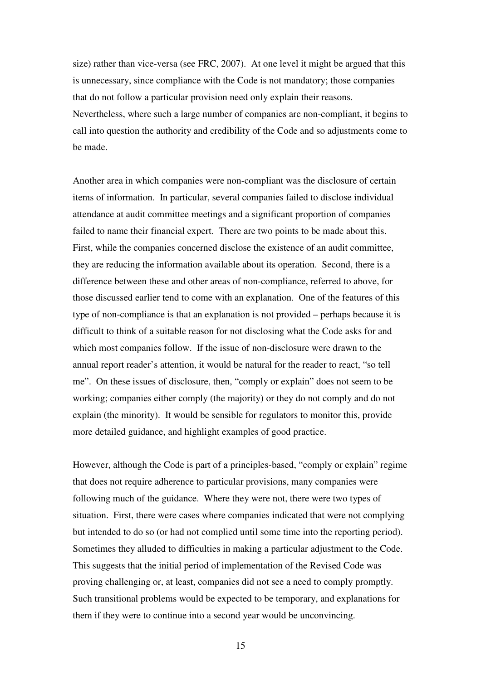size) rather than vice-versa (see FRC, 2007). At one level it might be argued that this is unnecessary, since compliance with the Code is not mandatory; those companies that do not follow a particular provision need only explain their reasons. Nevertheless, where such a large number of companies are non-compliant, it begins to call into question the authority and credibility of the Code and so adjustments come to be made.

Another area in which companies were non-compliant was the disclosure of certain items of information. In particular, several companies failed to disclose individual attendance at audit committee meetings and a significant proportion of companies failed to name their financial expert. There are two points to be made about this. First, while the companies concerned disclose the existence of an audit committee, they are reducing the information available about its operation. Second, there is a difference between these and other areas of non-compliance, referred to above, for those discussed earlier tend to come with an explanation. One of the features of this type of non-compliance is that an explanation is not provided – perhaps because it is difficult to think of a suitable reason for not disclosing what the Code asks for and which most companies follow. If the issue of non-disclosure were drawn to the annual report reader's attention, it would be natural for the reader to react, "so tell me". On these issues of disclosure, then, "comply or explain" does not seem to be working; companies either comply (the majority) or they do not comply and do not explain (the minority). It would be sensible for regulators to monitor this, provide more detailed guidance, and highlight examples of good practice.

However, although the Code is part of a principles-based, "comply or explain" regime that does not require adherence to particular provisions, many companies were following much of the guidance. Where they were not, there were two types of situation. First, there were cases where companies indicated that were not complying but intended to do so (or had not complied until some time into the reporting period). Sometimes they alluded to difficulties in making a particular adjustment to the Code. This suggests that the initial period of implementation of the Revised Code was proving challenging or, at least, companies did not see a need to comply promptly. Such transitional problems would be expected to be temporary, and explanations for them if they were to continue into a second year would be unconvincing.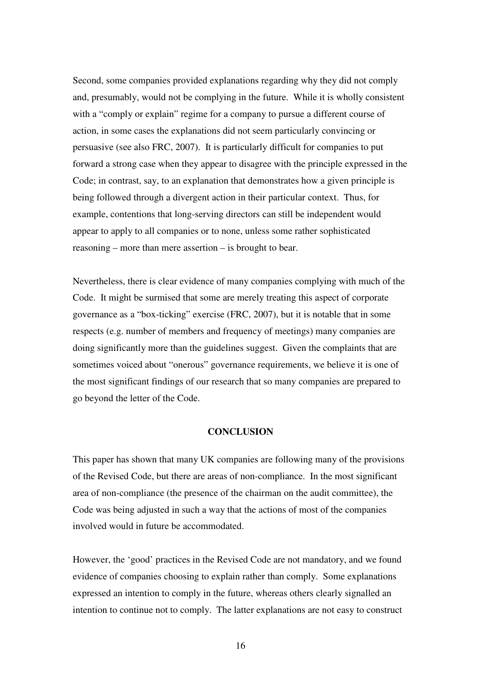Second, some companies provided explanations regarding why they did not comply and, presumably, would not be complying in the future. While it is wholly consistent with a "comply or explain" regime for a company to pursue a different course of action, in some cases the explanations did not seem particularly convincing or persuasive (see also FRC, 2007). It is particularly difficult for companies to put forward a strong case when they appear to disagree with the principle expressed in the Code; in contrast, say, to an explanation that demonstrates how a given principle is being followed through a divergent action in their particular context. Thus, for example, contentions that long-serving directors can still be independent would appear to apply to all companies or to none, unless some rather sophisticated reasoning – more than mere assertion – is brought to bear.

Nevertheless, there is clear evidence of many companies complying with much of the Code. It might be surmised that some are merely treating this aspect of corporate governance as a "box-ticking" exercise (FRC, 2007), but it is notable that in some respects (e.g. number of members and frequency of meetings) many companies are doing significantly more than the guidelines suggest. Given the complaints that are sometimes voiced about "onerous" governance requirements, we believe it is one of the most significant findings of our research that so many companies are prepared to go beyond the letter of the Code.

### **CONCLUSION**

This paper has shown that many UK companies are following many of the provisions of the Revised Code, but there are areas of non-compliance. In the most significant area of non-compliance (the presence of the chairman on the audit committee), the Code was being adjusted in such a way that the actions of most of the companies involved would in future be accommodated.

However, the 'good' practices in the Revised Code are not mandatory, and we found evidence of companies choosing to explain rather than comply. Some explanations expressed an intention to comply in the future, whereas others clearly signalled an intention to continue not to comply. The latter explanations are not easy to construct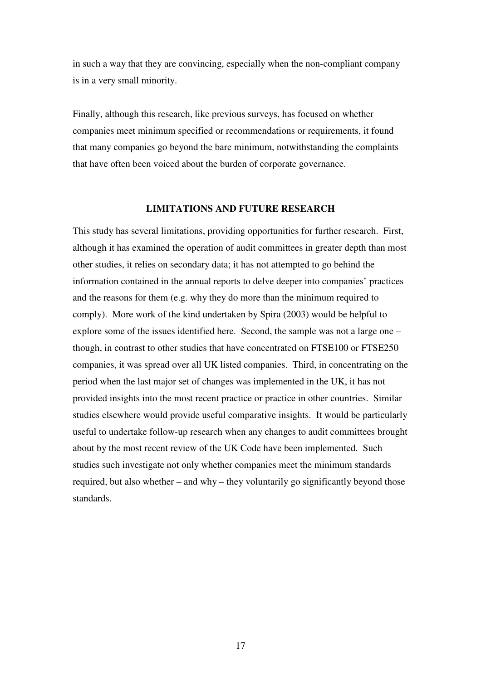in such a way that they are convincing, especially when the non-compliant company is in a very small minority.

Finally, although this research, like previous surveys, has focused on whether companies meet minimum specified or recommendations or requirements, it found that many companies go beyond the bare minimum, notwithstanding the complaints that have often been voiced about the burden of corporate governance.

#### **LIMITATIONS AND FUTURE RESEARCH**

This study has several limitations, providing opportunities for further research. First, although it has examined the operation of audit committees in greater depth than most other studies, it relies on secondary data; it has not attempted to go behind the information contained in the annual reports to delve deeper into companies' practices and the reasons for them (e.g. why they do more than the minimum required to comply). More work of the kind undertaken by Spira (2003) would be helpful to explore some of the issues identified here. Second, the sample was not a large one – though, in contrast to other studies that have concentrated on FTSE100 or FTSE250 companies, it was spread over all UK listed companies. Third, in concentrating on the period when the last major set of changes was implemented in the UK, it has not provided insights into the most recent practice or practice in other countries. Similar studies elsewhere would provide useful comparative insights. It would be particularly useful to undertake follow-up research when any changes to audit committees brought about by the most recent review of the UK Code have been implemented. Such studies such investigate not only whether companies meet the minimum standards required, but also whether – and why – they voluntarily go significantly beyond those standards.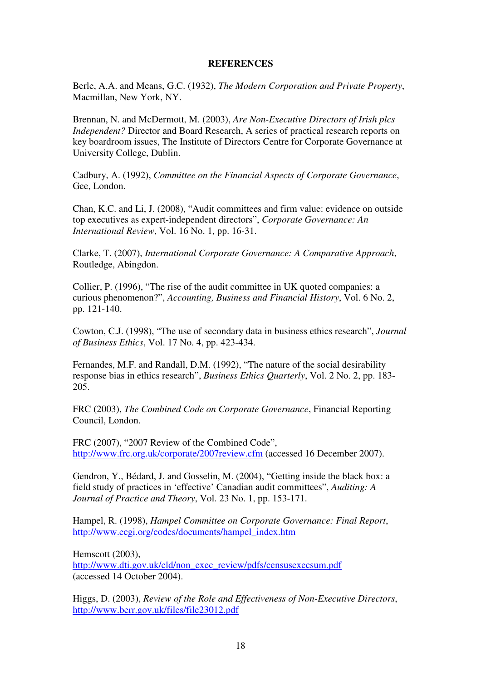### **REFERENCES**

Berle, A.A. and Means, G.C. (1932), *The Modern Corporation and Private Property*, Macmillan, New York, NY.

Brennan, N. and McDermott, M. (2003), *Are Non-Executive Directors of Irish plcs Independent?* Director and Board Research, A series of practical research reports on key boardroom issues, The Institute of Directors Centre for Corporate Governance at University College, Dublin.

Cadbury, A. (1992), *Committee on the Financial Aspects of Corporate Governance*, Gee, London.

Chan, K.C. and Li, J. (2008), "Audit committees and firm value: evidence on outside top executives as expert-independent directors", *Corporate Governance: An International Review*, Vol. 16 No. 1, pp. 16-31.

Clarke, T. (2007), *International Corporate Governance: A Comparative Approach*, Routledge, Abingdon.

Collier, P. (1996), "The rise of the audit committee in UK quoted companies: a curious phenomenon?", *Accounting, Business and Financial History*, Vol. 6 No. 2, pp. 121-140.

Cowton, C.J. (1998), "The use of secondary data in business ethics research", *Journal of Business Ethics*, Vol. 17 No. 4, pp. 423-434.

Fernandes, M.F. and Randall, D.M. (1992), "The nature of the social desirability response bias in ethics research", *Business Ethics Quarterly*, Vol. 2 No. 2, pp. 183- 205.

FRC (2003), *The Combined Code on Corporate Governance*, Financial Reporting Council, London.

FRC (2007), "2007 Review of the Combined Code", http://www.frc.org.uk/corporate/2007review.cfm (accessed 16 December 2007).

Gendron, Y., Bédard, J. and Gosselin, M. (2004), "Getting inside the black box: a field study of practices in 'effective' Canadian audit committees", *Auditing: A Journal of Practice and Theory*, Vol. 23 No. 1, pp. 153-171.

Hampel, R. (1998), *Hampel Committee on Corporate Governance: Final Report*, http://www.ecgi.org/codes/documents/hampel\_index.htm

Hemscott (2003),

http://www.dti.gov.uk/cld/non\_exec\_review/pdfs/censusexecsum.pdf (accessed 14 October 2004).

Higgs, D. (2003), *Review of the Role and Effectiveness of Non-Executive Directors*, http://www.berr.gov.uk/files/file23012.pdf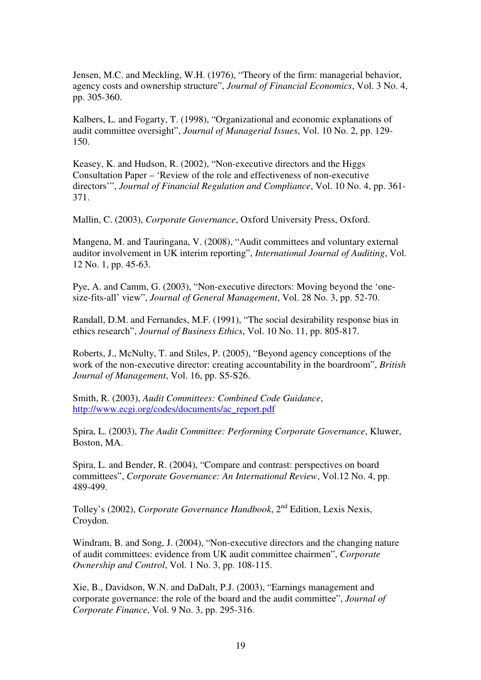Jensen, M.C. and Meckling, W.H. (1976), "Theory of the firm: managerial behavior, agency costs and ownership structure", *Journal of Financial Economics*, Vol. 3 No. 4, pp. 305-360.

Kalbers, L. and Fogarty, T. (1998), "Organizational and economic explanations of audit committee oversight", *Journal of Managerial Issues*, Vol. 10 No. 2, pp. 129- 150.

Keasey, K. and Hudson, R. (2002), "Non-executive directors and the Higgs Consultation Paper – 'Review of the role and effectiveness of non-executive directors'", *Journal of Financial Regulation and Compliance*, Vol. 10 No. 4, pp. 361- 371.

Mallin, C. (2003), *Corporate Governance*, Oxford University Press, Oxford.

Mangena, M. and Tauringana, V. (2008), "Audit committees and voluntary external auditor involvement in UK interim reporting", *International Journal of Auditing*, Vol. 12 No. 1, pp. 45-63.

Pye, A. and Camm, G. (2003), "Non-executive directors: Moving beyond the 'onesize-fits-all' view", *Journal of General Management*, Vol. 28 No. 3, pp. 52-70.

Randall, D.M. and Fernandes, M.F. (1991), "The social desirability response bias in ethics research", *Journal of Business Ethics*, Vol. 10 No. 11, pp. 805-817.

Roberts, J., McNulty, T. and Stiles, P. (2005), "Beyond agency conceptions of the work of the non-executive director: creating accountability in the boardroom", *British Journal of Management*, Vol. 16, pp. S5-S26.

Smith, R. (2003), *Audit Committees: Combined Code Guidance*, http://www.ecgi.org/codes/documents/ac\_report.pdf

Spira, L. (2003), *The Audit Committee: Performing Corporate Governance*, Kluwer, Boston, MA.

Spira, L. and Bender, R. (2004), "Compare and contrast: perspectives on board committees", *Corporate Governance: An International Review*, Vol.12 No. 4, pp. 489-499.

Tolley's (2002), *Corporate Governance Handbook*, 2nd Edition, Lexis Nexis, Croydon.

Windram, B. and Song, J. (2004), "Non-executive directors and the changing nature of audit committees: evidence from UK audit committee chairmen", *Corporate Ownership and Control*, Vol. 1 No. 3, pp. 108-115.

Xie, B., Davidson, W.N. and DaDalt, P.J. (2003), "Earnings management and corporate governance: the role of the board and the audit committee", *Journal of Corporate Finance*, Vol. 9 No. 3, pp. 295-316.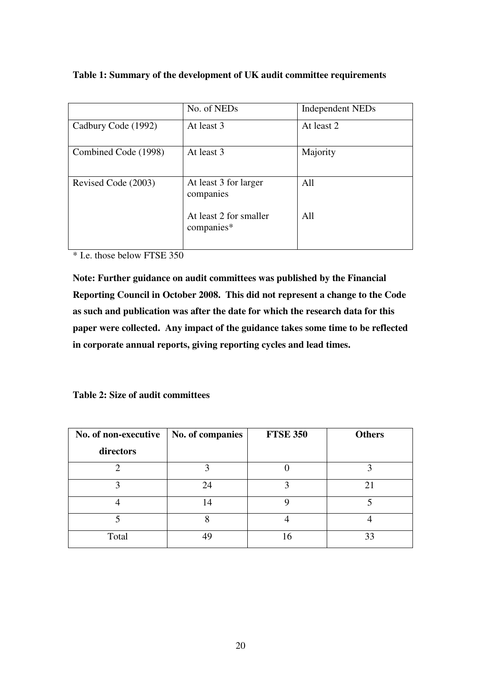|                      | No. of NEDs                          | Independent NEDs |
|----------------------|--------------------------------------|------------------|
| Cadbury Code (1992)  | At least 3                           | At least 2       |
| Combined Code (1998) | At least 3                           | Majority         |
| Revised Code (2003)  | At least 3 for larger<br>companies   | All              |
|                      | At least 2 for smaller<br>companies* | All              |

## **Table 1: Summary of the development of UK audit committee requirements**

 $\frac{1}{\text{*}$  I.e. those below FTSE 350

**Note: Further guidance on audit committees was published by the Financial Reporting Council in October 2008. This did not represent a change to the Code as such and publication was after the date for which the research data for this paper were collected. Any impact of the guidance takes some time to be reflected in corporate annual reports, giving reporting cycles and lead times.** 

**Table 2: Size of audit committees** 

| No. of non-executive | No. of companies | <b>FTSE 350</b> | <b>Others</b> |
|----------------------|------------------|-----------------|---------------|
| directors            |                  |                 |               |
|                      |                  |                 |               |
| 3                    | 24               |                 | 21            |
|                      | 14               |                 |               |
|                      |                  |                 |               |
| Total                | 49               | 16              | 33            |